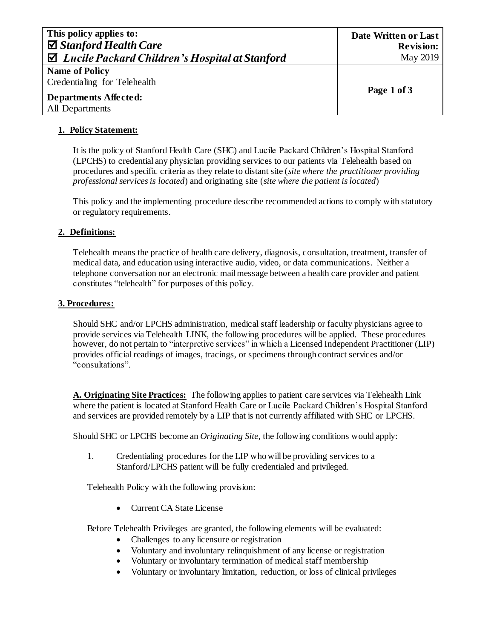| This policy applies to:<br>$\Box$ Stanford Health Care<br>$\boxtimes$ Lucile Packard Children's Hospital at Stanford | Date Written or Last<br><b>Revision:</b><br>May 2019 |
|----------------------------------------------------------------------------------------------------------------------|------------------------------------------------------|
| Name of Policy<br>Credentialing for Telehealth                                                                       | Page 1 of 3                                          |
| Departments Affected:<br>All Departments                                                                             |                                                      |

## **1. Policy Statement:**

It is the policy of Stanford Health Care (SHC) and Lucile Packard Children's Hospital Stanford (LPCHS) to credential any physician providing services to our patients via Telehealth based on procedures and specific criteria as they relate to distant site (*site where the practitioner providing professional services is located*) and originating site (*site where the patient is located*)

This policy and the implementing procedure describe recommended actions to comply with statutory or regulatory requirements.

### **2. Definitions:**

Telehealth means the practice of health care delivery, diagnosis, consultation, treatment, transfer of medical data, and education using interactive audio, video, or data communications. Neither a telephone conversation nor an electronic mail message between a health care provider and patient constitutes "telehealth" for purposes of this policy.

#### **3. Procedures:**

Should SHC and/or LPCHS administration, medical staff leadership or faculty physicians agree to provide services via Telehealth LINK, the following procedures will be applied. These procedures however, do not pertain to "interpretive services" in which a Licensed Independent Practitioner (LIP) provides official readings of images, tracings, or specimens through contract services and/or "consultations".

**A. Originating Site Practices:** The following applies to patient care services via Telehealth Link where the patient is located at Stanford Health Care or Lucile Packard Children's Hospital Stanford and services are provided remotely by a LIP that is not currently affiliated with SHC or LPCHS.

Should SHC or LPCHS become an *Originating Site*, the following conditions would apply:

1. Credentialing procedures for the LIP who will be providing services to a Stanford/LPCHS patient will be fully credentialed and privileged.

Telehealth Policy with the following provision:

• Current CA State License

Before Telehealth Privileges are granted, the following elements will be evaluated:

- Challenges to any licensure or registration
- Voluntary and involuntary relinquishment of any license or registration
- Voluntary or involuntary termination of medical staff membership
- Voluntary or involuntary limitation, reduction, or loss of clinical privileges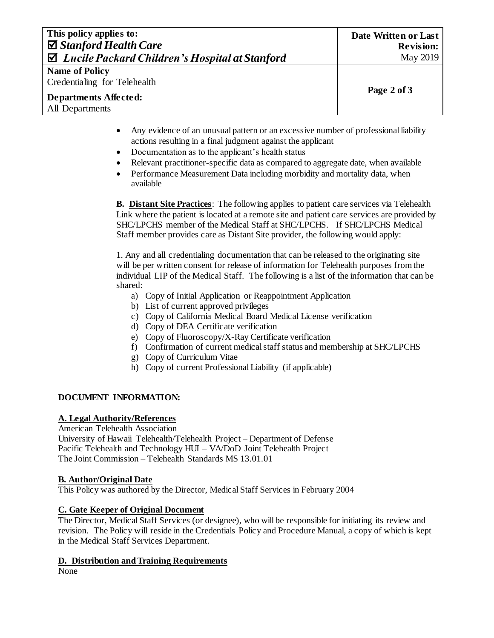# **This policy applies to:** *Stanford Health Care Lucile Packard Children's Hospital at Stanford*

**Name of Policy** 

Credentialing for Telehealth

### **Departments Affected:** All Departments

**Page 2 of 3**

- Any evidence of an unusual pattern or an excessive number of professional liability actions resulting in a final judgment against the applicant
- Documentation as to the applicant's health status
- Relevant practitioner-specific data as compared to aggregate date, when available
- Performance Measurement Data including morbidity and mortality data, when available

**B. Distant Site Practices**: The following applies to patient care services via Telehealth Link where the patient is located at a remote site and patient care services are provided by SHC/LPCHS member of the Medical Staff at SHC/LPCHS. If SHC/LPCHS Medical Staff member provides care as Distant Site provider, the following would apply:

1. Any and all credentialing documentation that can be released to the originating site will be per written consent for release of information for Telehealth purposes from the individual LIP of the Medical Staff. The following is a list of the information that can be shared:

- a) Copy of Initial Application or Reappointment Application
- b) List of current approved privileges
- c) Copy of California Medical Board Medical License verification
- d) Copy of DEA Certificate verification
- e) Copy of Fluoroscopy/X-Ray Certificate verification
- f) Confirmation of current medical staff status and membership at SHC/LPCHS
- g) Copy of Curriculum Vitae
- h) Copy of current Professional Liability (if applicable)

# **DOCUMENT INFORMATION:**

#### **A. Legal Authority/References**

American Telehealth Association University of Hawaii Telehealth/Telehealth Project – Department of Defense Pacific Telehealth and Technology HUI – VA/DoD Joint Telehealth Project The Joint Commission – Telehealth Standards MS 13.01.01

# **B. Author/Original Date**

This Policy was authored by the Director, Medical Staff Services in February 2004

# **C. Gate Keeper of Original Document**

The Director, Medical Staff Services (or designee), who will be responsible for initiating its review and revision. The Policy will reside in the Credentials Policy and Procedure Manual, a copy of which is kept in the Medical Staff Services Department.

# **D. Distribution and Training Requirements**

None